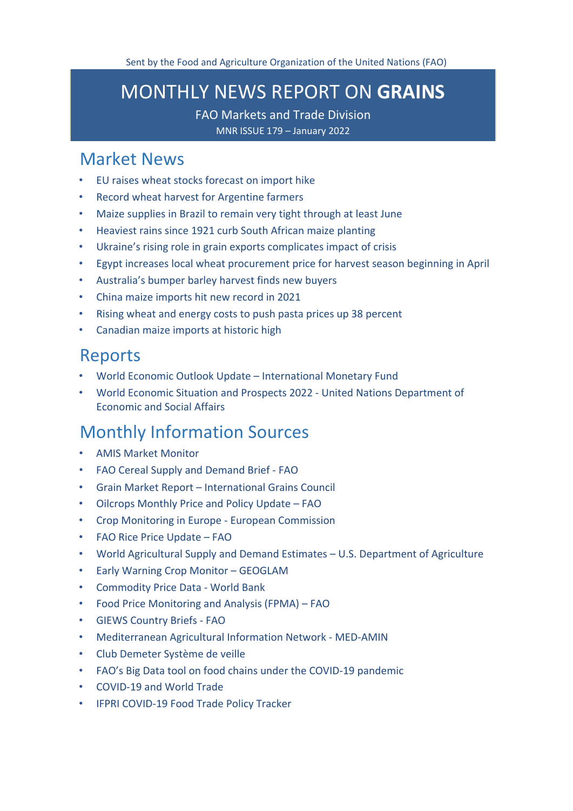# <span id="page-0-1"></span>MONTHLY NEWS REPORT ON **GRAINS**

FAO Markets and Trade Division

MNR ISSUE 179 – January 2022

## [Market News](#page-0-0)

- [EU raises wheat stocks forecast on import hike](#page-1-0)
- [Record wheat harvest for Argentine farmers](#page-1-1)
- [Maize supplies in Brazil to remain very tight through at least June](#page-2-0)
- [Heaviest rains since 1921 curb South African maize planting](#page-2-1)
- [Ukraine's rising role in grain exports complicates impact of crisis](#page-3-0)
- [Egypt increases local wheat procurement price for harvest season beginning in April](#page-5-0)
- [Australia's bumper barley harvest finds new buyers](#page-5-1)
- [China maize imports hit new record in 2021](#page-7-0)
- [Rising wheat and energy costs to push pasta prices up 38 percent](#page-7-0)
- [Canadian maize imports at historic high](#page-7-1)

## [Reports](#page-8-0)

- [World Economic Outlook Update –](#page-8-1) International Monetary Fund
- [World Economic Situation and Prospects 2022 -](#page-8-2) United Nations Department of [Economic and Social Affairs](#page-8-2)

# [Monthly Information Sources](#page-9-0)

- [AMIS Market](http://www.amis-outlook.org/amis-monitoring#.XoMGLIgzZPY) Monitor
- [FAO Cereal Supply and Demand Brief -](http://www.fao.org/worldfoodsituation/csdb/en/) FAO
- Grain Market Report International Grains Council
- [Oilcrops Monthly Price and Policy Update –](https://www.fao.org/3/cb8263en/cb8263en.pdf) FAO
- [Crop Monitoring in Europe -](https://publications.jrc.ec.europa.eu/repository/handle/JRC127957) European Commission
- [FAO Rice Price Update –](http://www.fao.org/economic/est/publications/rice-publications/the-fao-rice-price-update/it/) FAO
- [World Agricultural Supply and Demand Estimates –](https://www.usda.gov/oce/commodity/wasde/wasde0122.pdf) U.S. Department of Agriculture
- [Early Warning Crop Monitor –](https://cropmonitor.org/index.php/cmreports/earlywarning-report/) GEOGLAM
- [Commodity Price Data -](https://thedocs.worldbank.org/en/doc/5d903e848db1d1b83e0ec8f744e55570-0350012021/related/CMO-Pink-Sheet-January-2022.pdf) World Bank
- [Food Price Monitoring and Analysis \(FPMA\) –](https://www.fao.org/3/cb7976en/cb7976en.pdf) FAO
- [GIEWS Country Briefs -](https://www.fao.org/giews/en/) [FAO](http://www.fao.org/giews/countrybrief/index.jsp)
- [Mediterranean Agricultural Information Network -](https://www.scoop.it/topic/med-amin) MED-AMIN
- [Club Demeter](https://www.scoop.it/u/club-demeter) Système de veille
- [FAO's Big Data tool on food chains under the COVID-19 pandemic](http://www.fao.org/datalab/website/web/covid19)
- [COVID-19 and World](https://www.wto.org/english/tratop_e/covid19_e/covid19_e.htm) Trade
- <span id="page-0-0"></span>• [IFPRI COVID-19 Food Trade Policy](https://www.ifpri.org/project/covid-19-food-trade-policy-tracker) Tracker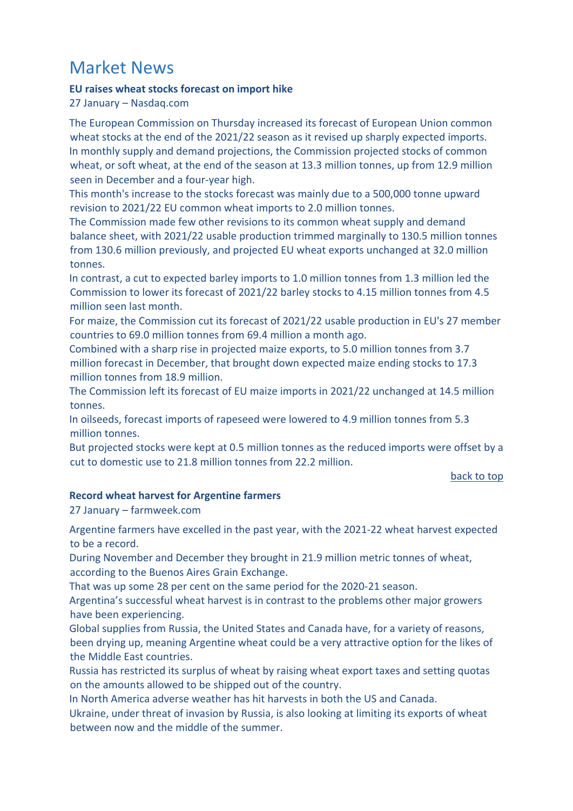# Market News

## <span id="page-1-0"></span>**EU raises wheat stocks forecast on import hike**

27 January – Nasdaq.com

The European Commission on Thursday increased its forecast of European Union common wheat stocks at the end of the 2021/22 season as it revised up sharply expected imports. In monthly supply and demand projections, the Commission projected stocks of common wheat, or soft wheat, at the end of the season at 13.3 million tonnes, up from 12.9 million seen in December and a four-year high.

This month's increase to the stocks forecast was mainly due to a 500,000 tonne upward revision to 2021/22 EU common wheat imports to 2.0 million tonnes.

The Commission made few other revisions to its common wheat supply and demand balance sheet, with 2021/22 usable production trimmed marginally to 130.5 million tonnes from 130.6 million previously, and projected EU wheat exports unchanged at 32.0 million tonnes.

In contrast, a cut to expected barley imports to 1.0 million tonnes from 1.3 million led the Commission to lower its forecast of 2021/22 barley stocks to 4.15 million tonnes from 4.5 million seen last month.

For maize, the Commission cut its forecast of 2021/22 usable production in EU's 27 member countries to 69.0 million tonnes from 69.4 million a month ago.

Combined with a sharp rise in projected maize exports, to 5.0 million tonnes from 3.7 million forecast in December, that brought down expected maize ending stocks to 17.3 million tonnes from 18.9 million.

The Commission left its forecast of EU maize imports in 2021/22 unchanged at 14.5 million tonnes.

In oilseeds, forecast imports of rapeseed were lowered to 4.9 million tonnes from 5.3 million tonnes.

But projected stocks were kept at 0.5 million tonnes as the reduced imports were offset by a cut to domestic use to 21.8 million tonnes from 22.2 million.

#### [back to top](#page-0-1)

## <span id="page-1-1"></span>**Record wheat harvest for Argentine farmers**

27 January – farmweek.com

Argentine farmers have excelled in the past year, with the 2021-22 wheat harvest expected to be a record.

During November and December they brought in 21.9 million metric tonnes of wheat, according to the Buenos Aires Grain Exchange.

That was up some 28 per cent on the same period for the 2020-21 season.

Argentina's successful wheat harvest is in contrast to the problems other major growers have been experiencing.

Global supplies from Russia, the United States and Canada have, for a variety of reasons, been drying up, meaning Argentine wheat could be a very attractive option for the likes of the Middle East countries.

Russia has restricted its surplus of wheat by raising wheat export taxes and setting quotas on the amounts allowed to be shipped out of the country.

In North America adverse weather has hit harvests in both the US and Canada.

Ukraine, under threat of invasion by Russia, is also looking at limiting its exports of wheat between now and the middle of the summer.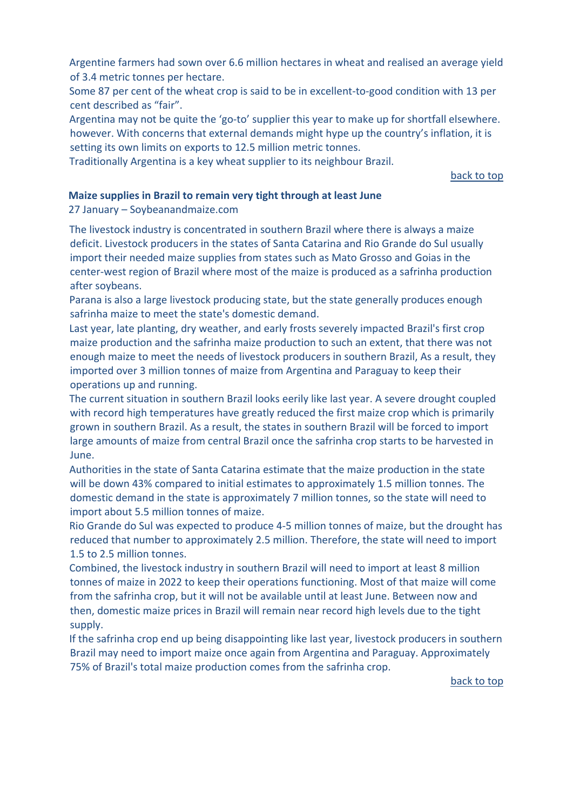Argentine farmers had sown over 6.6 million hectares in wheat and realised an average yield of 3.4 metric tonnes per hectare.

Some 87 per cent of the wheat crop is said to be in excellent-to-good condition with 13 per cent described as "fair".

Argentina may not be quite the 'go-to' supplier this year to make up for shortfall elsewhere. however. With concerns that external demands might hype up the country's inflation, it is setting its own limits on exports to 12.5 million metric tonnes.

Traditionally Argentina is a key wheat supplier to its neighbour Brazil.

[back to top](#page-0-1) 

#### <span id="page-2-0"></span>**Maize supplies in Brazil to remain very tight through at least June**

27 January – Soybeanandmaize.com

The livestock industry is concentrated in southern Brazil where there is always a maize deficit. Livestock producers in the states of Santa Catarina and Rio Grande do Sul usually import their needed maize supplies from states such as Mato Grosso and Goias in the center-west region of Brazil where most of the maize is produced as a safrinha production after soybeans.

Parana is also a large livestock producing state, but the state generally produces enough safrinha maize to meet the state's domestic demand.

Last year, late planting, dry weather, and early frosts severely impacted Brazil's first crop maize production and the safrinha maize production to such an extent, that there was not enough maize to meet the needs of livestock producers in southern Brazil, As a result, they imported over 3 million tonnes of maize from Argentina and Paraguay to keep their operations up and running.

The current situation in southern Brazil looks eerily like last year. A severe drought coupled with record high temperatures have greatly reduced the first maize crop which is primarily grown in southern Brazil. As a result, the states in southern Brazil will be forced to import large amounts of maize from central Brazil once the safrinha crop starts to be harvested in June.

Authorities in the state of Santa Catarina estimate that the maize production in the state will be down 43% compared to initial estimates to approximately 1.5 million tonnes. The domestic demand in the state is approximately 7 million tonnes, so the state will need to import about 5.5 million tonnes of maize.

Rio Grande do Sul was expected to produce 4-5 million tonnes of maize, but the drought has reduced that number to approximately 2.5 million. Therefore, the state will need to import 1.5 to 2.5 million tonnes.

Combined, the livestock industry in southern Brazil will need to import at least 8 million tonnes of maize in 2022 to keep their operations functioning. Most of that maize will come from the safrinha crop, but it will not be available until at least June. Between now and then, domestic maize prices in Brazil will remain near record high levels due to the tight supply.

<span id="page-2-1"></span>If the safrinha crop end up being disappointing like last year, livestock producers in southern Brazil may need to import maize once again from Argentina and Paraguay. Approximately 75% of Brazil's total maize production comes from the safrinha crop.

[back to top](#page-0-1)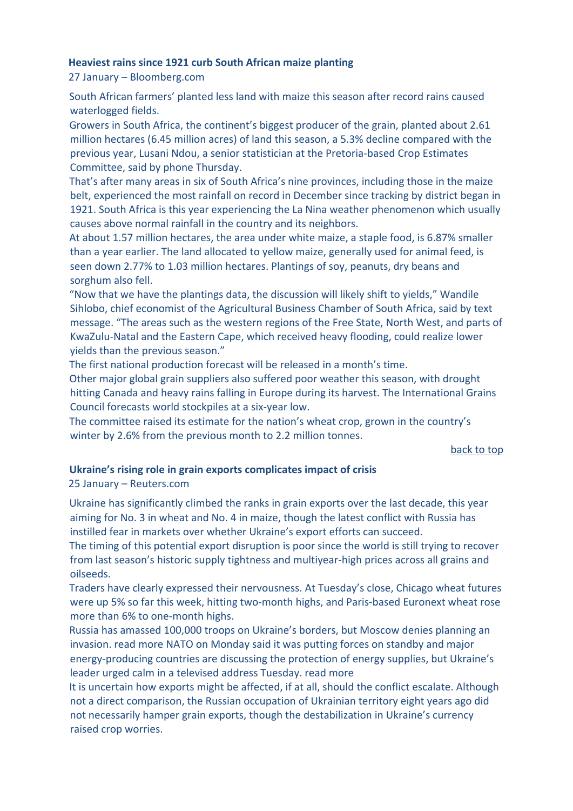#### **Heaviest rains since 1921 curb South African maize planting**

27 January – Bloomberg.com

South African farmers' planted less land with maize this season after record rains caused waterlogged fields.

Growers in South Africa, the continent's biggest producer of the grain, planted about 2.61 million hectares (6.45 million acres) of land this season, a 5.3% decline compared with the previous year, Lusani Ndou, a senior statistician at the Pretoria-based Crop Estimates Committee, said by phone Thursday.

That's after many areas in six of South Africa's nine provinces, including those in the maize belt, experienced the most rainfall on record in December since tracking by district began in 1921. South Africa is this year experiencing the La Nina weather phenomenon which usually causes above normal rainfall in the country and its neighbors.

At about 1.57 million hectares, the area under white maize, a staple food, is 6.87% smaller than a year earlier. The land allocated to yellow maize, generally used for animal feed, is seen down 2.77% to 1.03 million hectares. Plantings of soy, peanuts, dry beans and sorghum also fell.

"Now that we have the plantings data, the discussion will likely shift to yields," Wandile Sihlobo, chief economist of the Agricultural Business Chamber of South Africa, said by text message. "The areas such as the western regions of the Free State, North West, and parts of KwaZulu-Natal and the Eastern Cape, which received heavy flooding, could realize lower yields than the previous season."

The first national production forecast will be released in a month's time.

Other major global grain suppliers also suffered poor weather this season, with drought hitting Canada and heavy rains falling in Europe during its harvest. The International Grains Council forecasts world stockpiles at a six-year low.

The committee raised its estimate for the nation's wheat crop, grown in the country's winter by 2.6% from the previous month to 2.2 million tonnes.

[back to top](#page-0-1) 

## <span id="page-3-0"></span>**Ukraine's rising role in grain exports complicates impact of crisis**

25 January – Reuters.com

Ukraine has significantly climbed the ranks in grain exports over the last decade, this year aiming for No. 3 in wheat and No. 4 in maize, though the latest conflict with Russia has instilled fear in markets over whether Ukraine's export efforts can succeed.

The timing of this potential export disruption is poor since the world is still trying to recover from last season's historic supply tightness and multiyear-high prices across all grains and oilseeds.

Traders have clearly expressed their nervousness. At Tuesday's close, Chicago wheat futures were up 5% so far this week, hitting two-month highs, and Paris-based Euronext wheat rose more than 6% to one-month highs.

Russia has amassed 100,000 troops on Ukraine's borders, but Moscow denies planning an invasion. read more NATO on Monday said it was putting forces on standby and major energy-producing countries are discussing the protection of energy supplies, but Ukraine's leader urged calm in a televised address Tuesday. read more

It is uncertain how exports might be affected, if at all, should the conflict escalate. Although not a direct comparison, the Russian occupation of Ukrainian territory eight years ago did not necessarily hamper grain exports, though the destabilization in Ukraine's currency raised crop worries.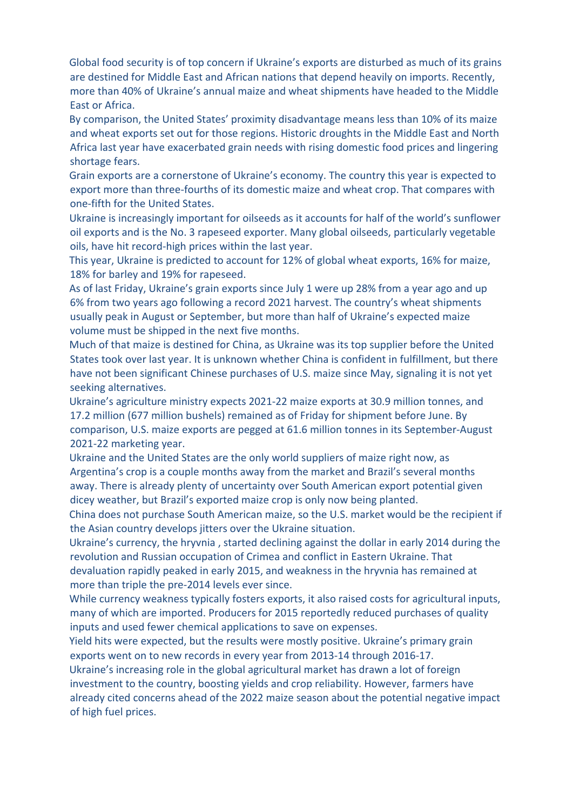Global food security is of top concern if Ukraine's exports are disturbed as much of its grains are destined for Middle East and African nations that depend heavily on imports. Recently, more than 40% of Ukraine's annual maize and wheat shipments have headed to the Middle East or Africa.

By comparison, the United States' proximity disadvantage means less than 10% of its maize and wheat exports set out for those regions. Historic droughts in the Middle East and North Africa last year have exacerbated grain needs with rising domestic food prices and lingering shortage fears.

Grain exports are a cornerstone of Ukraine's economy. The country this year is expected to export more than three-fourths of its domestic maize and wheat crop. That compares with one-fifth for the United States.

Ukraine is increasingly important for oilseeds as it accounts for half of the world's sunflower oil exports and is the No. 3 rapeseed exporter. Many global oilseeds, particularly vegetable oils, have hit record-high prices within the last year.

This year, Ukraine is predicted to account for 12% of global wheat exports, 16% for maize, 18% for barley and 19% for rapeseed.

As of last Friday, Ukraine's grain exports since July 1 were up 28% from a year ago and up 6% from two years ago following a record 2021 harvest. The country's wheat shipments usually peak in August or September, but more than half of Ukraine's expected maize volume must be shipped in the next five months.

Much of that maize is destined for China, as Ukraine was its top supplier before the United States took over last year. It is unknown whether China is confident in fulfillment, but there have not been significant Chinese purchases of U.S. maize since May, signaling it is not yet seeking alternatives.

Ukraine's agriculture ministry expects 2021-22 maize exports at 30.9 million tonnes, and 17.2 million (677 million bushels) remained as of Friday for shipment before June. By comparison, U.S. maize exports are pegged at 61.6 million tonnes in its September-August 2021-22 marketing year.

Ukraine and the United States are the only world suppliers of maize right now, as Argentina's crop is a couple months away from the market and Brazil's several months away. There is already plenty of uncertainty over South American export potential given dicey weather, but Brazil's exported maize crop is only now being planted.

China does not purchase South American maize, so the U.S. market would be the recipient if the Asian country develops jitters over the Ukraine situation.

Ukraine's currency, the hryvnia , started declining against the dollar in early 2014 during the revolution and Russian occupation of Crimea and conflict in Eastern Ukraine. That devaluation rapidly peaked in early 2015, and weakness in the hryvnia has remained at more than triple the pre-2014 levels ever since.

While currency weakness typically fosters exports, it also raised costs for agricultural inputs, many of which are imported. Producers for 2015 reportedly reduced purchases of quality inputs and used fewer chemical applications to save on expenses.

Yield hits were expected, but the results were mostly positive. Ukraine's primary grain exports went on to new records in every year from 2013-14 through 2016-17.

Ukraine's increasing role in the global agricultural market has drawn a lot of foreign investment to the country, boosting yields and crop reliability. However, farmers have already cited concerns ahead of the 2022 maize season about the potential negative impact of high fuel prices.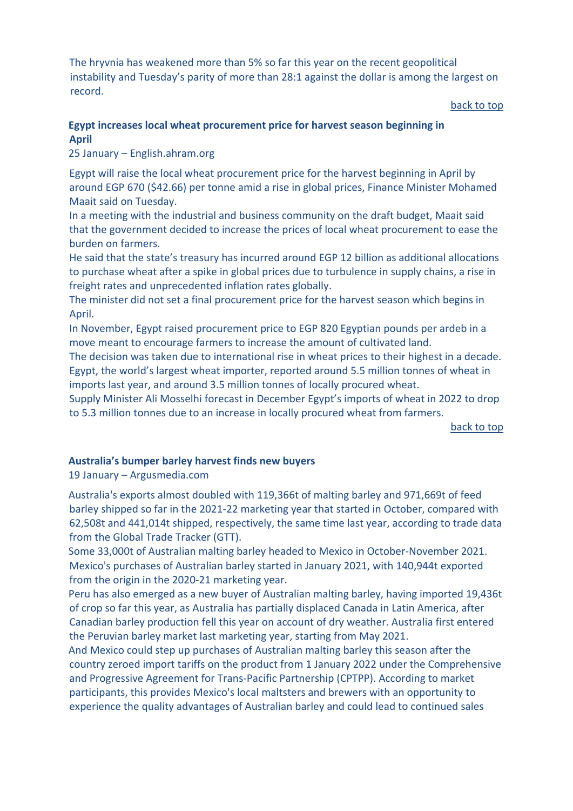The hryvnia has weakened more than 5% so far this year on the recent geopolitical instability and Tuesday's parity of more than 28:1 against the dollar is among the largest on record.

[back to top](#page-0-1) 

## <span id="page-5-0"></span>**Egypt increases local wheat procurement price for harvest season beginning in April**

25 January – English.ahram.org

Egypt will raise the local wheat procurement price for the harvest beginning in April by around EGP 670 (\$42.66) per tonne amid a rise in global prices, Finance Minister Mohamed Maait said on Tuesday.

In a meeting with the industrial and business community on the draft budget, Maait said that the government decided to increase the prices of local wheat procurement to ease the burden on farmers.

He said that the state's treasury has incurred around EGP 12 billion as additional allocations to purchase wheat after a spike in global prices due to turbulence in supply chains, a rise in freight rates and unprecedented inflation rates globally.

The minister did not set a final procurement price for the harvest season which begins in April.

In November, Egypt raised procurement price to EGP 820 Egyptian pounds per ardeb in a move meant to encourage farmers to increase the amount of cultivated land.

The decision was taken due to international rise in wheat prices to their highest in a decade. Egypt, the world's largest wheat importer, reported around 5.5 million tonnes of wheat in imports last year, and around 3.5 million tonnes of locally procured wheat.

Supply Minister Ali Mosselhi forecast in December Egypt's imports of wheat in 2022 to drop to 5.3 million tonnes due to an increase in locally procured wheat from farmers.

[back to top](#page-0-1) 

#### <span id="page-5-1"></span>**Australia's bumper barley harvest finds new buyers**

19 January – Argusmedia.com

Australia's exports almost doubled with 119,366t of malting barley and 971,669t of feed barley shipped so far in the 2021-22 marketing year that started in October, compared with 62,508t and 441,014t shipped, respectively, the same time last year, according to trade data from the Global Trade Tracker (GTT).

Some 33,000t of Australian malting barley headed to Mexico in October-November 2021. Mexico's purchases of Australian barley started in January 2021, with 140,944t exported from the origin in the 2020-21 marketing year.

Peru has also emerged as a new buyer of Australian malting barley, having imported 19,436t of crop so far this year, as Australia has partially displaced Canada in Latin America, after Canadian barley production fell this year on account of dry weather. Australia first entered the Peruvian barley market last marketing year, starting from May 2021.

And Mexico could step up purchases of Australian malting barley this season after the country zeroed import tariffs on the product from 1 January 2022 under the Comprehensive and Progressive Agreement for Trans-Pacific Partnership (CPTPP). According to market participants, this provides Mexico's local maltsters and brewers with an opportunity to experience the quality advantages of Australian barley and could lead to continued sales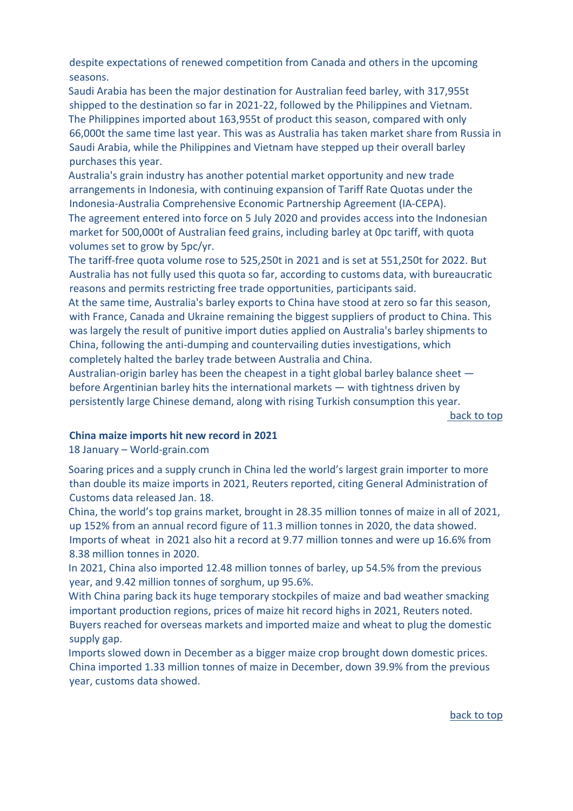despite expectations of renewed competition from Canada and others in the upcoming seasons.

Saudi Arabia has been the major destination for Australian feed barley, with 317,955t shipped to the destination so far in 2021-22, followed by the Philippines and Vietnam. The Philippines imported about 163,955t of product this season, compared with only 66,000t the same time last year. This was as Australia has taken market share from Russia in Saudi Arabia, while the Philippines and Vietnam have stepped up their overall barley purchases this year.

Australia's grain industry has another potential market opportunity and new trade arrangements in Indonesia, with continuing expansion of Tariff Rate Quotas under the Indonesia-Australia Comprehensive Economic Partnership Agreement (IA-CEPA).

The agreement entered into force on 5 July 2020 and provides access into the Indonesian market for 500,000t of Australian feed grains, including barley at 0pc tariff, with quota volumes set to grow by 5pc/yr.

The tariff-free quota volume rose to 525,250t in 2021 and is set at 551,250t for 2022. But Australia has not fully used this quota so far, according to customs data, with bureaucratic reasons and permits restricting free trade opportunities, participants said.

At the same time, Australia's barley exports to China have stood at zero so far this season, with France, Canada and Ukraine remaining the biggest suppliers of product to China. This was largely the result of punitive import duties applied on Australia's barley shipments to China, following the anti-dumping and countervailing duties investigations, which completely halted the barley trade between Australia and China.

Australian-origin barley has been the cheapest in a tight global barley balance sheet before Argentinian barley hits the international markets — with tightness driven by persistently large Chinese demand, along with rising Turkish consumption this year.

[back to top](#page-0-1) 

#### **China maize imports hit new record in 2021**

18 January – World-grain.com

Soaring prices and a supply crunch in China led the world's largest grain importer to more than double its maize imports in 2021, Reuters reported, citing General Administration of Customs data released Jan. 18.

China, the world's top grains market, brought in 28.35 million tonnes of maize in all of 2021, up 152% from an annual record figure of 11.3 million tonnes in 2020, the data showed. Imports of wheat in 2021 also hit a record at 9.77 million tonnes and were up 16.6% from 8.38 million tonnes in 2020.

In 2021, China also imported 12.48 million tonnes of barley, up 54.5% from the previous year, and 9.42 million tonnes of sorghum, up 95.6%.

With China paring back its huge temporary stockpiles of maize and bad weather smacking important production regions, prices of maize hit record highs in 2021, Reuters noted.

Buyers reached for overseas markets and imported maize and wheat to plug the domestic supply gap.

Imports slowed down in December as a bigger maize crop brought down domestic prices. China imported 1.33 million tonnes of maize in December, down 39.9% from the previous year, customs data showed.

[back to top](#page-0-1)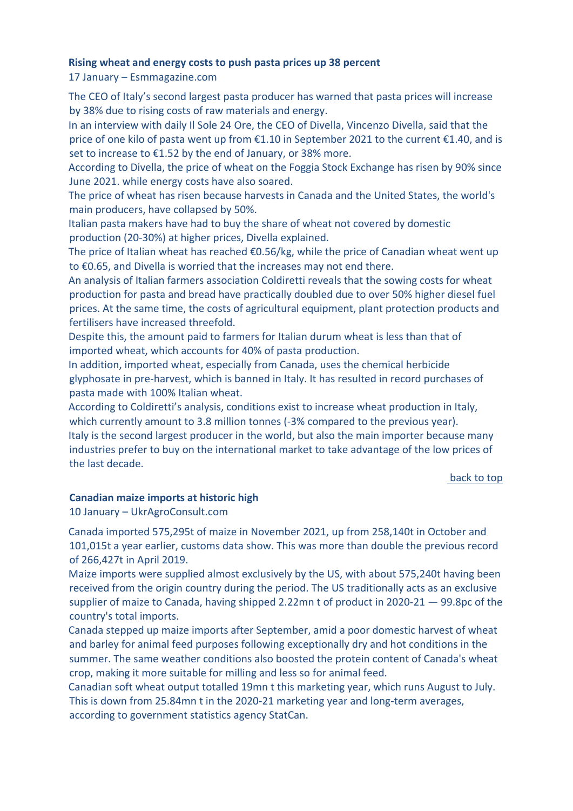### <span id="page-7-0"></span>**Rising wheat and energy costs to push pasta prices up 38 percent**

17 January – Esmmagazine.com

The CEO of Italy's second largest pasta producer has warned that pasta prices will increase by 38% due to rising costs of raw materials and energy.

In an interview with daily Il Sole 24 Ore, the CEO of Divella, Vincenzo Divella, said that the price of one kilo of pasta went up from €1.10 in September 2021 to the current €1.40, and is set to increase to €1.52 by the end of January, or 38% more.

According to Divella, the price of wheat on the Foggia Stock Exchange has risen by 90% since June 2021. while energy costs have also soared.

The price of wheat has risen because harvests in Canada and the United States, the world's main producers, have collapsed by 50%.

Italian pasta makers have had to buy the share of wheat not covered by domestic production (20-30%) at higher prices, Divella explained.

The price of Italian wheat has reached  $\epsilon$ 0.56/kg, while the price of Canadian wheat went up to €0.65, and Divella is worried that the increases may not end there.

An analysis of Italian farmers association Coldiretti reveals that the sowing costs for wheat production for pasta and bread have practically doubled due to over 50% higher diesel fuel prices. At the same time, the costs of agricultural equipment, plant protection products and fertilisers have increased threefold.

Despite this, the amount paid to farmers for Italian durum wheat is less than that of imported wheat, which accounts for 40% of pasta production.

In addition, imported wheat, especially from Canada, uses the chemical herbicide glyphosate in pre-harvest, which is banned in Italy. It has resulted in record purchases of pasta made with 100% Italian wheat.

According to Coldiretti's analysis, conditions exist to increase wheat production in Italy, which currently amount to 3.8 million tonnes (-3% compared to the previous year). Italy is the second largest producer in the world, but also the main importer because many industries prefer to buy on the international market to take advantage of the low prices of the last decade.

[back to top](#page-0-1) 

#### <span id="page-7-1"></span>**Canadian maize imports at historic high**

10 January – UkrAgroConsult.com

Canada imported 575,295t of maize in November 2021, up from 258,140t in October and 101,015t a year earlier, customs data show. This was more than double the previous record of 266,427t in April 2019.

Maize imports were supplied almost exclusively by the US, with about 575,240t having been received from the origin country during the period. The US traditionally acts as an exclusive supplier of maize to Canada, having shipped 2.22mn t of product in 2020-21 — 99.8pc of the country's total imports.

Canada stepped up maize imports after September, amid a poor domestic harvest of wheat and barley for animal feed purposes following exceptionally dry and hot conditions in the summer. The same weather conditions also boosted the protein content of Canada's wheat crop, making it more suitable for milling and less so for animal feed.

Canadian soft wheat output totalled 19mn t this marketing year, which runs August to July. This is down from 25.84mn t in the 2020-21 marketing year and long-term averages, according to government statistics agency StatCan.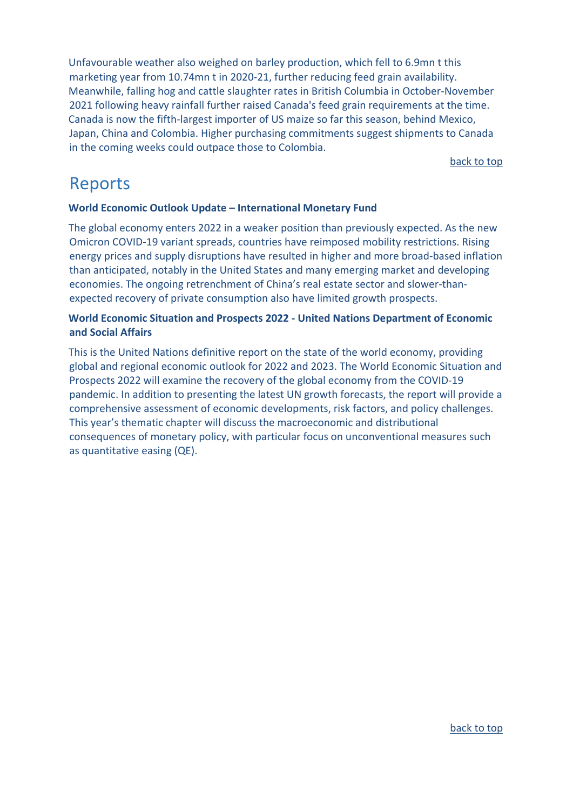Unfavourable weather also weighed on barley production, which fell to 6.9mn t this marketing year from 10.74mn t in 2020-21, further reducing feed grain availability. Meanwhile, falling hog and cattle slaughter rates in British Columbia in October-November 2021 following heavy rainfall further raised Canada's feed grain requirements at the time. Canada is now the fifth-largest importer of US maize so far this season, behind Mexico, Japan, China and Colombia. Higher purchasing commitments suggest shipments to Canada in the coming weeks could outpace those to Colombia.

[back to top](#page-0-1)

## <span id="page-8-0"></span>Reports

## <span id="page-8-1"></span>**[World Economic Outlook Update –](https://www.imf.org/en/Publications/WEO/Issues/2022/01/25/world-economic-outlook-update-january-2022) International Monetary Fund**

The global economy enters 2022 in a weaker position than previously expected. As the new Omicron COVID-19 variant spreads, countries have reimposed mobility restrictions. Rising energy prices and supply disruptions have resulted in higher and more broad-based inflation than anticipated, notably in the United States and many emerging market and developing economies. The ongoing retrenchment of China's real estate sector and slower-thanexpected recovery of private consumption also have limited growth prospects.

## <span id="page-8-2"></span>**[World Economic Situation and Prospects 2022 -](https://www.un-ilibrary.org/content/books/9789210011839) United Nations Department of Economic [and Social Affairs](https://www.un-ilibrary.org/content/books/9789210011839)**

This is the United Nations definitive report on the state of the world economy, providing global and regional economic outlook for 2022 and 2023. The World Economic Situation and Prospects 2022 will examine the recovery of the global economy from the COVID-19 pandemic. In addition to presenting the latest UN growth forecasts, the report will provide a comprehensive assessment of economic developments, risk factors, and policy challenges. This year's thematic chapter will discuss the macroeconomic and distributional consequences of monetary policy, with particular focus on unconventional measures such as quantitative easing (QE).